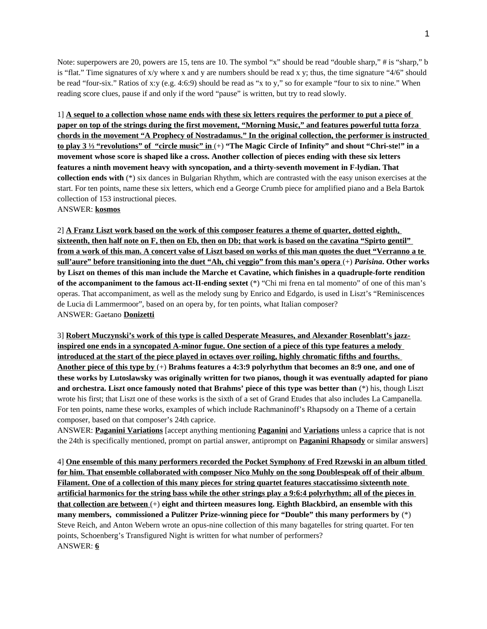Note: superpowers are 20, powers are 15, tens are 10. The symbol "x" should be read "double sharp," # is "sharp," b is "flat." Time signatures of  $x/y$  where x and y are numbers should be read x y; thus, the time signature "4/6" should be read "four-six." Ratios of x:y (e.g. 4:6:9) should be read as "x to y," so for example "four to six to nine." When reading score clues, pause if and only if the word "pause" is written, but try to read slowly.

1] **A sequel to a collection whose name ends with these six letters requires the performer to put a piece of paper on top of the strings during the first movement, "Morning Music," and features powerful tutta forza chords in the movement "A Prophecy of Nostradamus." In the original collection, the performer is instructed to play 3 ⅓ "revolutions" of "circle music" in** (+) **"The Magic Circle of Infinity" and shout "Chri-ste!" in a movement whose score is shaped like a cross. Another collection of pieces ending with these six letters features a ninth movement heavy with syncopation, and a thirty-seventh movement in F-lydian. That collection ends with** (\*) six dances in Bulgarian Rhythm, which are contrasted with the easy unison exercises at the start. For ten points, name these six letters, which end a George Crumb piece for amplified piano and a Bela Bartok collection of 153 instructional pieces.

ANSWER: **kosmos**

2] **A Franz Liszt work based on the work of this composer features a theme of quarter, dotted eighth, sixteenth, then half note on F, then on Eb, then on Db; that work is based on the cavatina "Spirto gentil" from a work of this man. A concert valse of Liszt based on works of this man quotes the duet "Verranno a te sull'aure" before transitioning into the duet "Ah, chi veggio" from this man's opera** (+) *Parisina***. Other works by Liszt on themes of this man include the Marche et Cavatine, which finishes in a quadruple-forte rendition of the accompaniment to the famous act-II-ending sextet** (\*) "Chi mi frena en tal momento" of one of this man's operas. That accompaniment, as well as the melody sung by Enrico and Edgardo, is used in Liszt's "Reminiscences de Lucia di Lammermoor", based on an opera by, for ten points, what Italian composer? ANSWER: Gaetano **Donizetti**

3] **Robert Muczynski's work of this type is called Desperate Measures, and Alexander Rosenblatt's jazzinspired one ends in a syncopated A-minor fugue. One section of a piece of this type features a melody introduced at the start of the piece played in octaves over roiling, highly chromatic fifths and fourths. Another piece of this type by** (+) **Brahms features a 4:3:9 polyrhythm that becomes an 8:9 one, and one of these works by Lutoslawsky was originally written for two pianos, though it was eventually adapted for piano and orchestra. Liszt once famously noted that Brahms' piece of this type was better than** (\*) his, though Liszt wrote his first; that Liszt one of these works is the sixth of a set of Grand Etudes that also includes La Campanella. For ten points, name these works, examples of which include Rachmaninoff's Rhapsody on a Theme of a certain composer, based on that composer's 24th caprice.

ANSWER: **Paganini Variations** [accept anything mentioning **Paganini** and **Variations** unless a caprice that is not the 24th is specifically mentioned, prompt on partial answer, antiprompt on **Paganini Rhapsody** or similar answers]

4] **One ensemble of this many performers recorded the Pocket Symphony of Fred Rzewski in an album titled for him. That ensemble collaborated with composer Nico Muhly on the song Doublespeak off of their album Filament. One of a collection of this many pieces for string quartet features staccatissimo sixteenth note artificial harmonics for the string bass while the other strings play a 9:6:4 polyrhythm; all of the pieces in that collection are between** (+) **eight and thirteen measures long. Eighth Blackbird, an ensemble with this many members, commissioned a Pulitzer Prize-winning piece for "Double" this many performers by** (\*) Steve Reich, and Anton Webern wrote an opus-nine collection of this many bagatelles for string quartet. For ten points, Schoenberg's Transfigured Night is written for what number of performers? ANSWER: **6**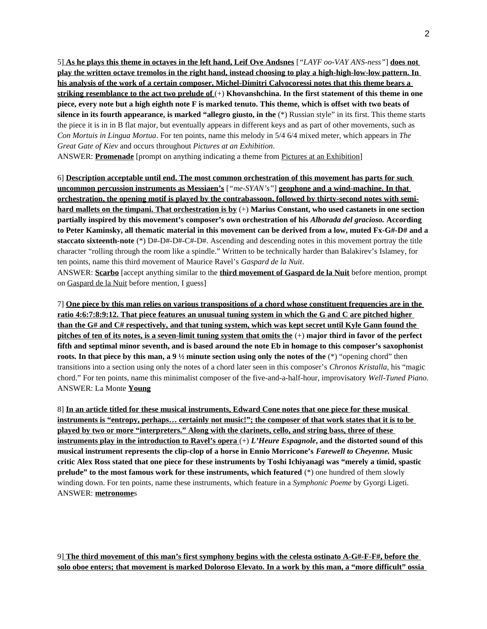5] **As he plays this theme in octaves in the left hand, Leif Ove Andsnes** [*"LAYF oo-VAY ANS-ness"*] **does not play the written octave tremolos in the right hand, instead choosing to play a high-high-low-low pattern. In his analysis of the work of a certain composer, Michel-Dimitri Calvocoressi notes that this theme bears a striking resemblance to the act two prelude of** (+) **Khovanshchina. In the first statement of this theme in one piece, every note but a high eighth note F is marked tenuto. This theme, which is offset with two beats of silence in its fourth appearance, is marked "allegro giusto, in the** (\*) Russian style" in its first. This theme starts the piece it is in in B flat major, but eventually appears in different keys and as part of other movements, such as *Con Mortuis in Lingua Mortua*. For ten points, name this melody in 5/4 6/4 mixed meter, which appears in *The Great Gate of Kiev* and occurs throughout *Pictures at an Exhibition*.

ANSWER: **Promenade** [prompt on anything indicating a theme from Pictures at an Exhibition]

6] **Description acceptable until end. The most common orchestration of this movement has parts for such uncommon percussion instruments as Messiaen's** [*"me-SYAN's"*] **geophone and a wind-machine. In that orchestration, the opening motif is played by the contrabassoon, followed by thirty-second notes with semihard mallets on the timpani. That orchestration is by** (+) **Marius Constant, who used castanets in one section partially inspired by this movement's composer's own orchestration of his** *Alborada del gracioso.* **According to Peter Kaminsky, all thematic material in this movement can be derived from a low, muted Fx-G#-D# and a staccato sixteenth-note** (\*) D#-D#-D#-C#-D#. Ascending and descending notes in this movement portray the title character "rolling through the room like a spindle." Written to be technically harder than Balakirev's Islamey, for ten points, name this third movement of Maurice Ravel's *Gaspard de la Nuit*.

ANSWER: **Scarbo** [accept anything similar to the **third movement of Gaspard de la Nuit** before mention, prompt on Gaspard de la Nuit before mention, I guess]

7] **One piece by this man relies on various transpositions of a chord whose constituent frequencies are in the ratio 4:6:7:8:9:12. That piece features an unusual tuning system in which the G and C are pitched higher than the G# and C# respectively, and that tuning system, which was kept secret until Kyle Gann found the pitches of ten of its notes, is a seven-limit tuning system that omits the** (+) **major third in favor of the perfect fifth and septimal minor seventh, and is based around the note Eb in homage to this composer's saxophonist roots. In that piece by this man, a 9 ½ minute section using only the notes of the** (\*) "opening chord" then transitions into a section using only the notes of a chord later seen in this composer's *Chronos Kristalla*, his "magic chord." For ten points, name this minimalist composer of the five-and-a-half-hour, improvisatory *Well-Tuned Piano*. ANSWER: La Monte **Young**

8] **In an article titled for these musical instruments, Edward Cone notes that one piece for these musical instruments is "entropy, perhaps… certainly not music!"; the composer of that work states that it is to be played by two or more "interpreters." Along with the clarinets, cello, and string bass, three of these instruments play in the introduction to Ravel's opera** (+) *L'Heure Espagnole***, and the distorted sound of this musical instrument represents the clip-clop of a horse in Ennio Morricone's** *Farewell to Cheyenne.* **Music critic Alex Ross stated that one piece for these instruments by Toshi Ichiyanagi was "merely a timid, spastic prelude" to the most famous work for these instruments, which featured** (\*) one hundred of them slowly winding down. For ten points, name these instruments, which feature in a *Symphonic Poeme* by Gyorgi Ligeti. ANSWER: **metronome**s

9] **The third movement of this man's first symphony begins with the celesta ostinato A-G#-F-F#, before the solo oboe enters; that movement is marked Doloroso Elevato. In a work by this man, a "more difficult" ossia**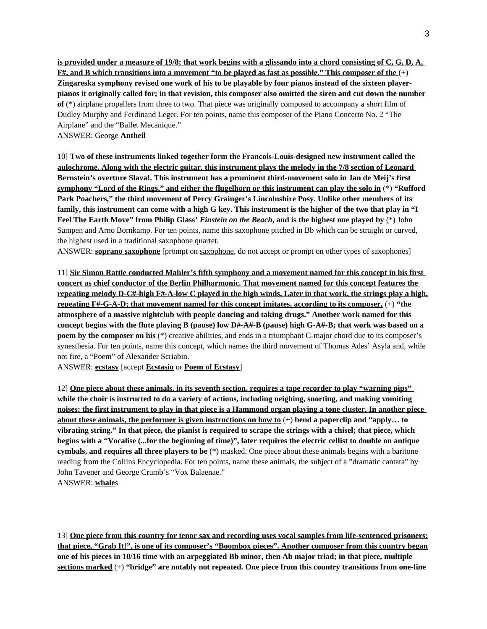**is provided under a measure of 19/8; that work begins with a glissando into a chord consisting of C, G, D, A, F#, and B which transitions into a movement "to be played as fast as possible." This composer of the** (+) **Zingareska symphony revised one work of his to be playable by four pianos instead of the sixteen playerpianos it originally called for; in that revision, this composer also omitted the siren and cut down the number of** (\*) airplane propellers from three to two. That piece was originally composed to accompany a short film of Dudley Murphy and Ferdinand Leger. For ten points, name this composer of the Piano Concerto No. 2 "The Airplane" and the "Ballet Mecanique."

ANSWER: George **Antheil**

10] **Two of these instruments linked together form the Francois-Louis-designed new instrument called the aulochrome. Along with the electric guitar, this instrument plays the melody in the 7/8 section of Leonard Bernstein's overture Slava!. This instrument has a prominent third-movement solo in Jan de Meij's first symphony "Lord of the Rings," and either the flugelhorn or this instrument can play the solo in** (\*) **"Rufford Park Poachers," the third movement of Percy Grainger's Lincolnshire Posy. Unlike other members of its family, this instrument can come with a high G key. This instrument is the higher of the two that play in "I Feel The Earth Move" from Philip Glass'** *Einstein on the Beach***, and is the highest one played by** (\*) John Sampen and Arno Bornkamp. For ten points, name this saxophone pitched in Bb which can be straight or curved, the highest used in a traditional saxophone quartet.

ANSWER: **soprano saxophone** [prompt on saxophone, do not accept or prompt on other types of saxophones]

11] **Sir Simon Rattle conducted Mahler's fifth symphony and a movement named for this concept in his first concert as chief conductor of the Berlin Philharmonic. That movement named for this concept features the repeating melody D-C#-high F#-A-low C played in the high winds. Later in that work, the strings play a high, repeating F#-G-A-D; that movement named for this concept imitates, according to its composer,** (+) **"the atmosphere of a massive nightclub with people dancing and taking drugs." Another work named for this concept begins with the flute playing B (pause) low D#-A#-B (pause) high G-A#-B; that work was based on a poem by the composer on his** (\*) creative abilities, and ends in a triumphant C-major chord due to its composer's synesthesia. For ten points, name this concept, which names the third movement of Thomas Ades' Asyla and, while not fire, a "Poem" of Alexander Scriabin.

ANSWER: **ecstasy** [accept **Ecstasio** or **Poem of Ecstasy**]

12] **One piece about these animals, in its seventh section, requires a tape recorder to play "warning pips" while the choir is instructed to do a variety of actions, including neighing, snorting, and making vomiting noises; the first instrument to play in that piece is a Hammond organ playing a tone cluster. In another piece about these animals, the performer is given instructions on how to** (+) **bend a paperclip and "apply… to vibrating string." In that piece, the pianist is required to scrape the strings with a chisel; that piece, which begins with a "Vocalise (...for the beginning of time)", later requires the electric cellist to double on antique cymbals, and requires all three players to be** (\*) masked. One piece about these animals begins with a baritone reading from the Collins Encyclopedia. For ten points, name these animals, the subject of a "dramatic cantata" by John Tavener and George Crumb's "Vox Balaenae." ANSWER: **whale**s

13] **One piece from this country for tenor sax and recording uses vocal samples from life-sentenced prisoners; that piece, "Grab It!", is one of its composer's "Boombox pieces". Another composer from this country began one of his pieces in 10/16 time with an arpeggiated Bb minor, then Ab major triad; in that piece, multiple sections marked** (+) **"bridge" are notably not repeated. One piece from this country transitions from one-line**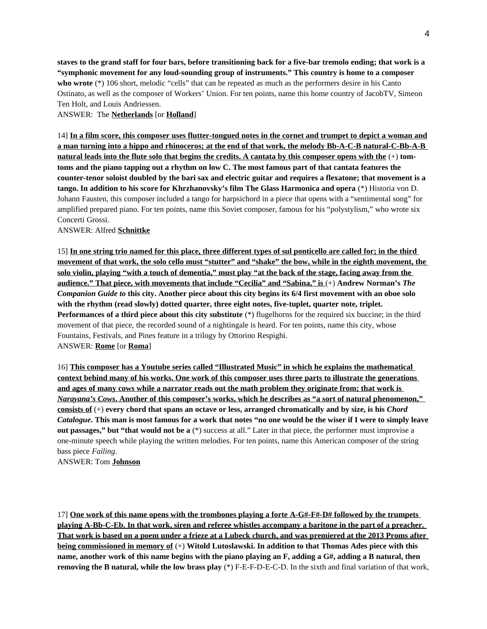**staves to the grand staff for four bars, before transitioning back for a five-bar tremolo ending; that work is a "symphonic movement for any loud-sounding group of instruments." This country is home to a composer who wrote** (\*) 106 short, melodic "cells" that can be repeated as much as the performers desire in his Canto Ostinato, as well as the composer of Workers' Union. For ten points, name this home country of JacobTV, Simeon Ten Holt, and Louis Andriessen.

## ANSWER: The **Netherlands** [or **Holland**]

14] **In a film score, this composer uses flutter-tongued notes in the cornet and trumpet to depict a woman and a man turning into a hippo and rhinoceros; at the end of that work, the melody Bb-A-C-B natural-C-Bb-A-B natural leads into the flute solo that begins the credits. A cantata by this composer opens with the** (+) **tomtoms and the piano tapping out a rhythm on low C. The most famous part of that cantata features the counter-tenor soloist doubled by the bari sax and electric guitar and requires a flexatone; that movement is a tango. In addition to his score for Khrzhanovsky's film The Glass Harmonica and opera** (\*) Historia von D. Johann Fausten, this composer included a tango for harpsichord in a piece that opens with a "sentimental song" for amplified prepared piano. For ten points, name this Soviet composer, famous for his "polystylism," who wrote six Concerti Grossi.

## ANSWER: Alfred **Schnittke**

15] **In one string trio named for this place, three different types of sul ponticello are called for; in the third movement of that work, the solo cello must "stutter" and "shake" the bow, while in the eighth movement, the solo violin, playing "with a touch of dementia," must play "at the back of the stage, facing away from the audience." That piece, with movements that include "Cecilia" and "Sabina," is** (+) **Andrew Norman's** *The Companion Guide to* **this city. Another piece about this city begins its 6/4 first movement with an oboe solo with the rhythm (read slowly) dotted quarter, three eight notes, five-tuplet, quarter note, triplet. Performances of a third piece about this city substitute** (\*) flugelhorns for the required six buccine; in the third movement of that piece, the recorded sound of a nightingale is heard. For ten points, name this city, whose Fountains, Festivals, and Pines feature in a trilogy by Ottorino Respighi. ANSWER: **Rome** [or **Roma**]

16] **This composer has a Youtube series called "Illustrated Music" in which he explains the mathematical context behind many of his works. One work of this composer uses three parts to illustrate the generations and ages of many cows while a narrator reads out the math problem they originate from; that work is**   *Narayana's Cows* **. Another of this composer's works, which he describes as "a sort of natural phenomenon," consists of** (+) **every chord that spans an octave or less, arranged chromatically and by size, is his** *Chord Catalogue***. This man is most famous for a work that notes "no one would be the wiser if I were to simply leave out passages," but "that would not be a** (\*) success at all." Later in that piece, the performer must improvise a one-minute speech while playing the written melodies. For ten points, name this American composer of the string bass piece *Failing*.

ANSWER: Tom **Johnson**

17] **One work of this name opens with the trombones playing a forte A-G#-F#-D# followed by the trumpets playing A-Bb-C-Eb. In that work, siren and referee whistles accompany a baritone in the part of a preacher. That work is based on a poem under a frieze at a Lubeck church, and was premiered at the 2013 Proms after being commissioned in memory of** (+) **Witold Lutoslawski. In addition to that Thomas Ades piece with this name, another work of this name begins with the piano playing an F, adding a G#, adding a B natural, then removing the B natural, while the low brass play** (\*) F-E-F-D-E-C-D. In the sixth and final variation of that work,